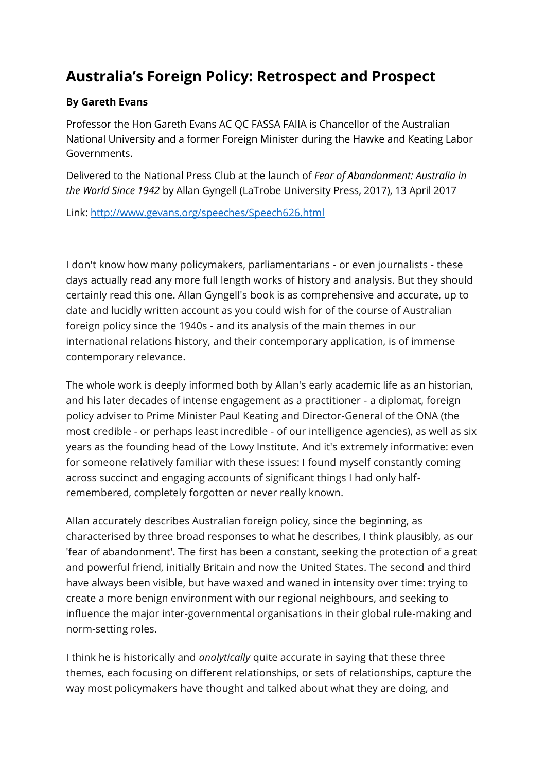## **Australia's Foreign Policy: Retrospect and Prospect**

## **By Gareth Evans**

Professor the Hon Gareth Evans AC QC FASSA FAIIA is Chancellor of the Australian National University and a former Foreign Minister during the Hawke and Keating Labor Governments.

Delivered to the National Press Club at the launch of *Fear of Abandonment: Australia in the World Since 1942* by Allan Gyngell (LaTrobe University Press, 2017), 13 April 2017

Link:<http://www.gevans.org/speeches/Speech626.html>

I don't know how many policymakers, parliamentarians - or even journalists - these days actually read any more full length works of history and analysis. But they should certainly read this one. Allan Gyngell's book is as comprehensive and accurate, up to date and lucidly written account as you could wish for of the course of Australian foreign policy since the 1940s - and its analysis of the main themes in our international relations history, and their contemporary application, is of immense contemporary relevance.

The whole work is deeply informed both by Allan's early academic life as an historian, and his later decades of intense engagement as a practitioner - a diplomat, foreign policy adviser to Prime Minister Paul Keating and Director-General of the ONA (the most credible - or perhaps least incredible - of our intelligence agencies), as well as six years as the founding head of the Lowy Institute. And it's extremely informative: even for someone relatively familiar with these issues: I found myself constantly coming across succinct and engaging accounts of significant things I had only halfremembered, completely forgotten or never really known.

Allan accurately describes Australian foreign policy, since the beginning, as characterised by three broad responses to what he describes, I think plausibly, as our 'fear of abandonment'. The first has been a constant, seeking the protection of a great and powerful friend, initially Britain and now the United States. The second and third have always been visible, but have waxed and waned in intensity over time: trying to create a more benign environment with our regional neighbours, and seeking to influence the major inter-governmental organisations in their global rule-making and norm-setting roles.

I think he is historically and *analytically* quite accurate in saying that these three themes, each focusing on different relationships, or sets of relationships, capture the way most policymakers have thought and talked about what they are doing, and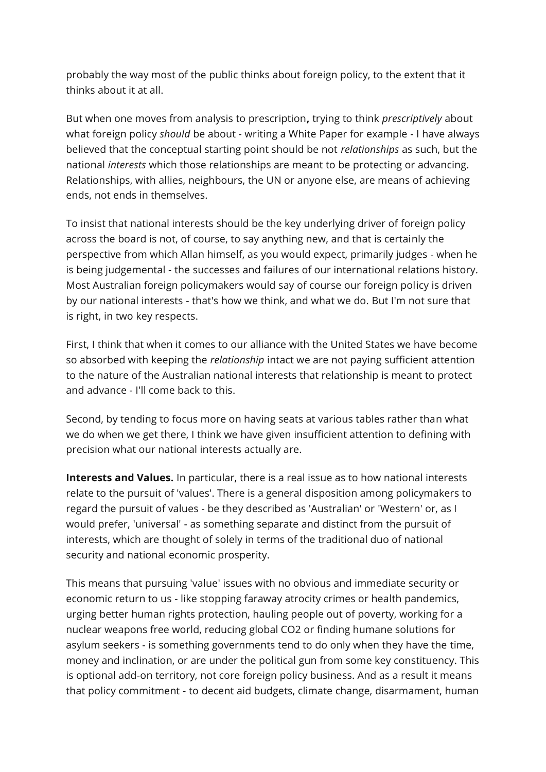probably the way most of the public thinks about foreign policy, to the extent that it thinks about it at all.

But when one moves from analysis to prescription**,** trying to think *prescriptively* about what foreign policy *should* be about - writing a White Paper for example - I have always believed that the conceptual starting point should be not *relationships* as such, but the national *interests* which those relationships are meant to be protecting or advancing. Relationships, with allies, neighbours, the UN or anyone else, are means of achieving ends, not ends in themselves.

To insist that national interests should be the key underlying driver of foreign policy across the board is not, of course, to say anything new, and that is certainly the perspective from which Allan himself, as you would expect, primarily judges - when he is being judgemental - the successes and failures of our international relations history. Most Australian foreign policymakers would say of course our foreign policy is driven by our national interests - that's how we think, and what we do. But I'm not sure that is right, in two key respects.

First, I think that when it comes to our alliance with the United States we have become so absorbed with keeping the *relationship* intact we are not paying sufficient attention to the nature of the Australian national interests that relationship is meant to protect and advance - I'll come back to this.

Second, by tending to focus more on having seats at various tables rather than what we do when we get there, I think we have given insufficient attention to defining with precision what our national interests actually are.

**Interests and Values.** In particular, there is a real issue as to how national interests relate to the pursuit of 'values'. There is a general disposition among policymakers to regard the pursuit of values - be they described as 'Australian' or 'Western' or, as I would prefer, 'universal' - as something separate and distinct from the pursuit of interests, which are thought of solely in terms of the traditional duo of national security and national economic prosperity.

This means that pursuing 'value' issues with no obvious and immediate security or economic return to us - like stopping faraway atrocity crimes or health pandemics, urging better human rights protection, hauling people out of poverty, working for a nuclear weapons free world, reducing global CO2 or finding humane solutions for asylum seekers - is something governments tend to do only when they have the time, money and inclination, or are under the political gun from some key constituency. This is optional add-on territory, not core foreign policy business. And as a result it means that policy commitment - to decent aid budgets, climate change, disarmament, human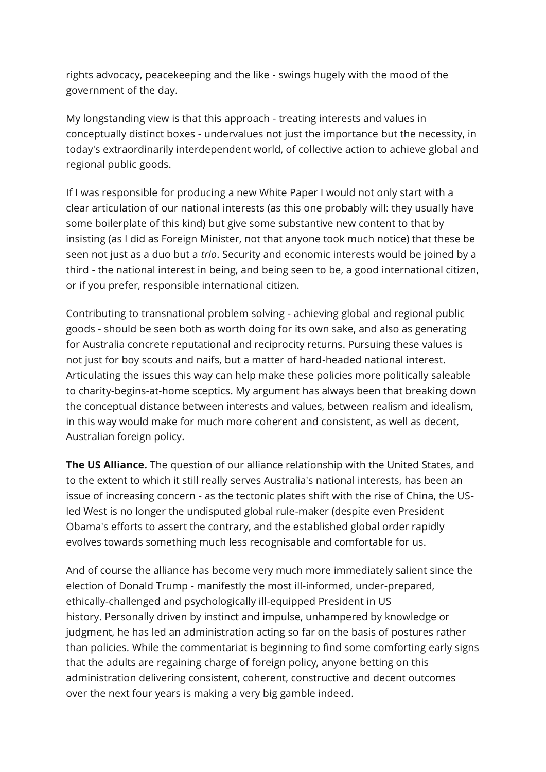rights advocacy, peacekeeping and the like - swings hugely with the mood of the government of the day.

My longstanding view is that this approach - treating interests and values in conceptually distinct boxes - undervalues not just the importance but the necessity, in today's extraordinarily interdependent world, of collective action to achieve global and regional public goods.

If I was responsible for producing a new White Paper I would not only start with a clear articulation of our national interests (as this one probably will: they usually have some boilerplate of this kind) but give some substantive new content to that by insisting (as I did as Foreign Minister, not that anyone took much notice) that these be seen not just as a duo but a *trio*. Security and economic interests would be joined by a third - the national interest in being, and being seen to be, a good international citizen, or if you prefer, responsible international citizen.

Contributing to transnational problem solving - achieving global and regional public goods - should be seen both as worth doing for its own sake, and also as generating for Australia concrete reputational and reciprocity returns. Pursuing these values is not just for boy scouts and naifs, but a matter of hard-headed national interest. Articulating the issues this way can help make these policies more politically saleable to charity-begins-at-home sceptics. My argument has always been that breaking down the conceptual distance between interests and values, between realism and idealism, in this way would make for much more coherent and consistent, as well as decent, Australian foreign policy.

**The US Alliance.** The question of our alliance relationship with the United States, and to the extent to which it still really serves Australia's national interests, has been an issue of increasing concern - as the tectonic plates shift with the rise of China, the USled West is no longer the undisputed global rule-maker (despite even President Obama's efforts to assert the contrary, and the established global order rapidly evolves towards something much less recognisable and comfortable for us.

And of course the alliance has become very much more immediately salient since the election of Donald Trump - manifestly the most ill-informed, under-prepared, ethically-challenged and psychologically ill-equipped President in US history. Personally driven by instinct and impulse, unhampered by knowledge or judgment, he has led an administration acting so far on the basis of postures rather than policies. While the commentariat is beginning to find some comforting early signs that the adults are regaining charge of foreign policy, anyone betting on this administration delivering consistent, coherent, constructive and decent outcomes over the next four years is making a very big gamble indeed.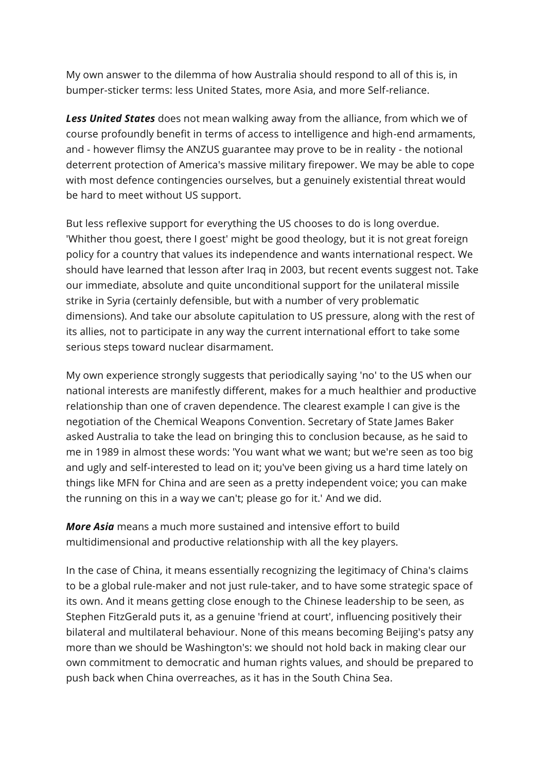My own answer to the dilemma of how Australia should respond to all of this is, in bumper-sticker terms: less United States, more Asia, and more Self-reliance.

*Less United States* does not mean walking away from the alliance, from which we of course profoundly benefit in terms of access to intelligence and high-end armaments, and - however flimsy the ANZUS guarantee may prove to be in reality - the notional deterrent protection of America's massive military firepower. We may be able to cope with most defence contingencies ourselves, but a genuinely existential threat would be hard to meet without US support.

But less reflexive support for everything the US chooses to do is long overdue. 'Whither thou goest, there I goest' might be good theology, but it is not great foreign policy for a country that values its independence and wants international respect. We should have learned that lesson after Iraq in 2003, but recent events suggest not. Take our immediate, absolute and quite unconditional support for the unilateral missile strike in Syria (certainly defensible, but with a number of very problematic dimensions). And take our absolute capitulation to US pressure, along with the rest of its allies, not to participate in any way the current international effort to take some serious steps toward nuclear disarmament.

My own experience strongly suggests that periodically saying 'no' to the US when our national interests are manifestly different, makes for a much healthier and productive relationship than one of craven dependence. The clearest example I can give is the negotiation of the Chemical Weapons Convention. Secretary of State James Baker asked Australia to take the lead on bringing this to conclusion because, as he said to me in 1989 in almost these words: 'You want what we want; but we're seen as too big and ugly and self-interested to lead on it; you've been giving us a hard time lately on things like MFN for China and are seen as a pretty independent voice; you can make the running on this in a way we can't; please go for it.' And we did.

*More Asia* means a much more sustained and intensive effort to build multidimensional and productive relationship with all the key players.

In the case of China, it means essentially recognizing the legitimacy of China's claims to be a global rule-maker and not just rule-taker, and to have some strategic space of its own. And it means getting close enough to the Chinese leadership to be seen, as Stephen FitzGerald puts it, as a genuine 'friend at court', influencing positively their bilateral and multilateral behaviour. None of this means becoming Beijing's patsy any more than we should be Washington's: we should not hold back in making clear our own commitment to democratic and human rights values, and should be prepared to push back when China overreaches, as it has in the South China Sea.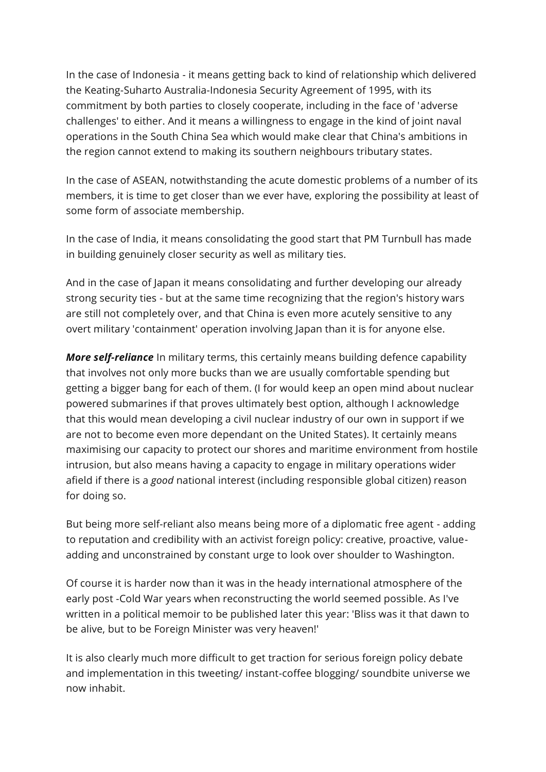In the case of Indonesia - it means getting back to kind of relationship which delivered the Keating-Suharto Australia-Indonesia Security Agreement of 1995, with its commitment by both parties to closely cooperate, including in the face of 'adverse challenges' to either. And it means a willingness to engage in the kind of joint naval operations in the South China Sea which would make clear that China's ambitions in the region cannot extend to making its southern neighbours tributary states.

In the case of ASEAN, notwithstanding the acute domestic problems of a number of its members, it is time to get closer than we ever have, exploring the possibility at least of some form of associate membership.

In the case of India, it means consolidating the good start that PM Turnbull has made in building genuinely closer security as well as military ties.

And in the case of Japan it means consolidating and further developing our already strong security ties - but at the same time recognizing that the region's history wars are still not completely over, and that China is even more acutely sensitive to any overt military 'containment' operation involving Japan than it is for anyone else.

*More self-reliance* In military terms, this certainly means building defence capability that involves not only more bucks than we are usually comfortable spending but getting a bigger bang for each of them. (I for would keep an open mind about nuclear powered submarines if that proves ultimately best option, although I acknowledge that this would mean developing a civil nuclear industry of our own in support if we are not to become even more dependant on the United States). It certainly means maximising our capacity to protect our shores and maritime environment from hostile intrusion, but also means having a capacity to engage in military operations wider afield if there is a *good* national interest (including responsible global citizen) reason for doing so.

But being more self-reliant also means being more of a diplomatic free agent - adding to reputation and credibility with an activist foreign policy: creative, proactive, valueadding and unconstrained by constant urge to look over shoulder to Washington.

Of course it is harder now than it was in the heady international atmosphere of the early post -Cold War years when reconstructing the world seemed possible. As I've written in a political memoir to be published later this year: 'Bliss was it that dawn to be alive, but to be Foreign Minister was very heaven!'

It is also clearly much more difficult to get traction for serious foreign policy debate and implementation in this tweeting/ instant-coffee blogging/ soundbite universe we now inhabit.